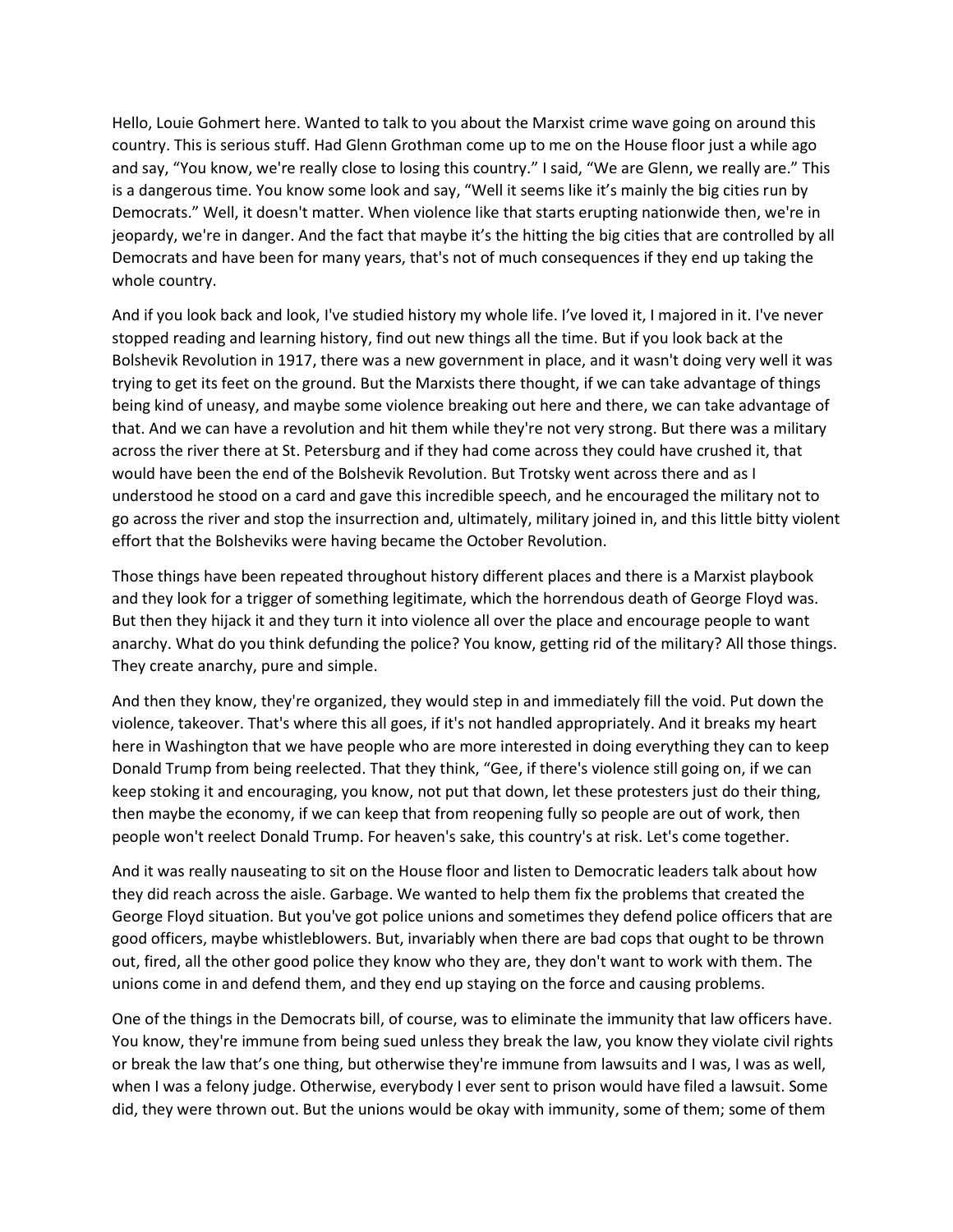Hello, Louie Gohmert here. Wanted to talk to you about the Marxist crime wave going on around this country. This is serious stuff. Had Glenn Grothman come up to me on the House floor just a while ago and say, "You know, we're really close to losing this country." I said, "We are Glenn, we really are." This is a dangerous time. You know some look and say, "Well it seems like it's mainly the big cities run by Democrats." Well, it doesn't matter. When violence like that starts erupting nationwide then, we're in jeopardy, we're in danger. And the fact that maybe it's the hitting the big cities that are controlled by all Democrats and have been for many years, that's not of much consequences if they end up taking the whole country.

And if you look back and look, I've studied history my whole life. I've loved it, I majored in it. I've never stopped reading and learning history, find out new things all the time. But if you look back at the Bolshevik Revolution in 1917, there was a new government in place, and it wasn't doing very well it was trying to get its feet on the ground. But the Marxists there thought, if we can take advantage of things being kind of uneasy, and maybe some violence breaking out here and there, we can take advantage of that. And we can have a revolution and hit them while they're not very strong. But there was a military across the river there at St. Petersburg and if they had come across they could have crushed it, that would have been the end of the Bolshevik Revolution. But Trotsky went across there and as I understood he stood on a card and gave this incredible speech, and he encouraged the military not to go across the river and stop the insurrection and, ultimately, military joined in, and this little bitty violent effort that the Bolsheviks were having became the October Revolution.

Those things have been repeated throughout history different places and there is a Marxist playbook and they look for a trigger of something legitimate, which the horrendous death of George Floyd was. But then they hijack it and they turn it into violence all over the place and encourage people to want anarchy. What do you think defunding the police? You know, getting rid of the military? All those things. They create anarchy, pure and simple.

And then they know, they're organized, they would step in and immediately fill the void. Put down the violence, takeover. That's where this all goes, if it's not handled appropriately. And it breaks my heart here in Washington that we have people who are more interested in doing everything they can to keep Donald Trump from being reelected. That they think, "Gee, if there's violence still going on, if we can keep stoking it and encouraging, you know, not put that down, let these protesters just do their thing, then maybe the economy, if we can keep that from reopening fully so people are out of work, then people won't reelect Donald Trump. For heaven's sake, this country's at risk. Let's come together.

And it was really nauseating to sit on the House floor and listen to Democratic leaders talk about how they did reach across the aisle. Garbage. We wanted to help them fix the problems that created the George Floyd situation. But you've got police unions and sometimes they defend police officers that are good officers, maybe whistleblowers. But, invariably when there are bad cops that ought to be thrown out, fired, all the other good police they know who they are, they don't want to work with them. The unions come in and defend them, and they end up staying on the force and causing problems.

One of the things in the Democrats bill, of course, was to eliminate the immunity that law officers have. You know, they're immune from being sued unless they break the law, you know they violate civil rights or break the law that's one thing, but otherwise they're immune from lawsuits and I was, I was as well, when I was a felony judge. Otherwise, everybody I ever sent to prison would have filed a lawsuit. Some did, they were thrown out. But the unions would be okay with immunity, some of them; some of them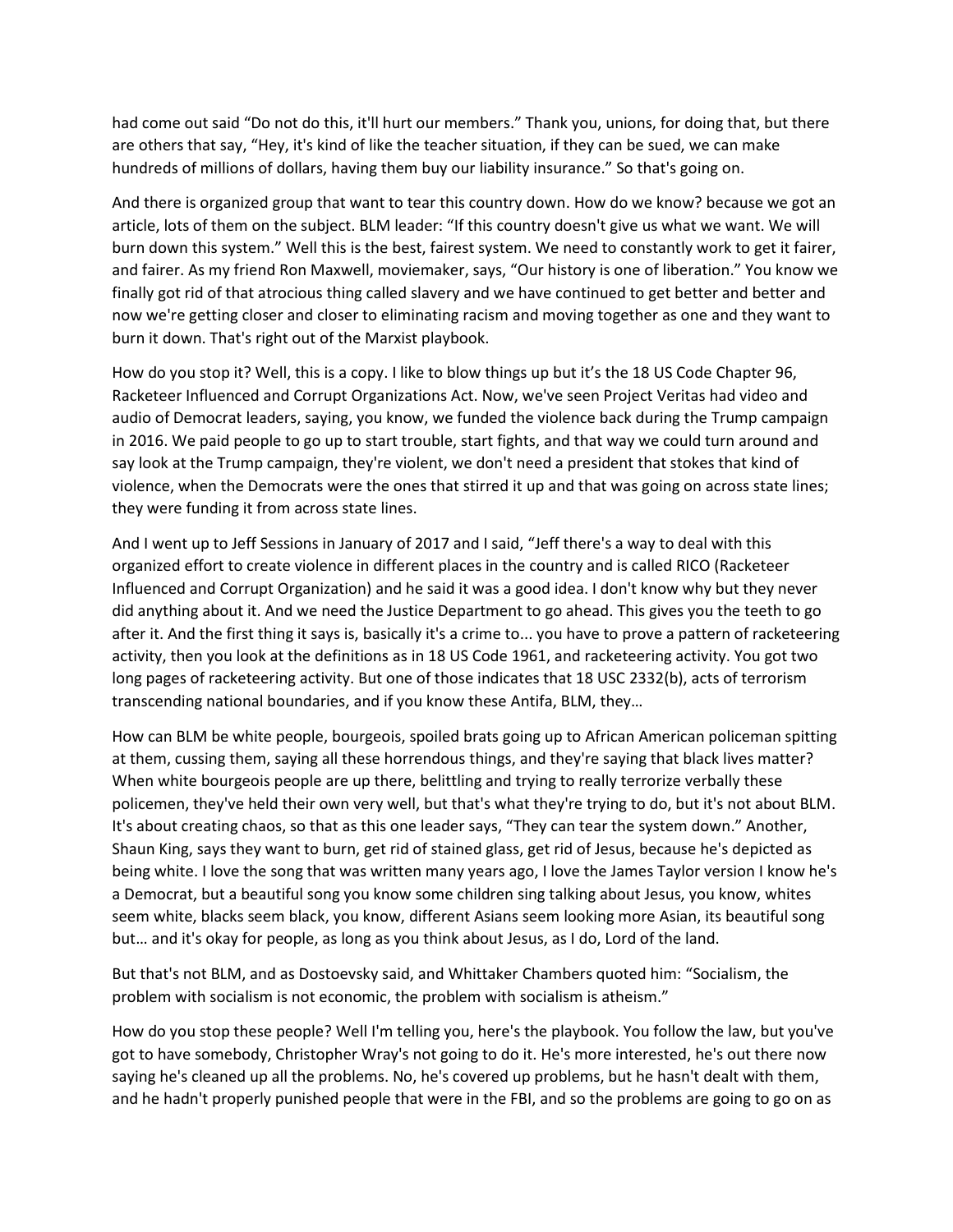had come out said "Do not do this, it'll hurt our members." Thank you, unions, for doing that, but there are others that say, "Hey, it's kind of like the teacher situation, if they can be sued, we can make hundreds of millions of dollars, having them buy our liability insurance." So that's going on.

And there is organized group that want to tear this country down. How do we know? because we got an article, lots of them on the subject. BLM leader: "If this country doesn't give us what we want. We will burn down this system." Well this is the best, fairest system. We need to constantly work to get it fairer, and fairer. As my friend Ron Maxwell, moviemaker, says, "Our history is one of liberation." You know we finally got rid of that atrocious thing called slavery and we have continued to get better and better and now we're getting closer and closer to eliminating racism and moving together as one and they want to burn it down. That's right out of the Marxist playbook.

How do you stop it? Well, this is a copy. I like to blow things up but it's the 18 US Code Chapter 96, Racketeer Influenced and Corrupt Organizations Act. Now, we've seen Project Veritas had video and audio of Democrat leaders, saying, you know, we funded the violence back during the Trump campaign in 2016. We paid people to go up to start trouble, start fights, and that way we could turn around and say look at the Trump campaign, they're violent, we don't need a president that stokes that kind of violence, when the Democrats were the ones that stirred it up and that was going on across state lines; they were funding it from across state lines.

And I went up to Jeff Sessions in January of 2017 and I said, "Jeff there's a way to deal with this organized effort to create violence in different places in the country and is called RICO (Racketeer Influenced and Corrupt Organization) and he said it was a good idea. I don't know why but they never did anything about it. And we need the Justice Department to go ahead. This gives you the teeth to go after it. And the first thing it says is, basically it's a crime to... you have to prove a pattern of racketeering activity, then you look at the definitions as in 18 US Code 1961, and racketeering activity. You got two long pages of racketeering activity. But one of those indicates that 18 USC 2332(b), acts of terrorism transcending national boundaries, and if you know these Antifa, BLM, they…

How can BLM be white people, bourgeois, spoiled brats going up to African American policeman spitting at them, cussing them, saying all these horrendous things, and they're saying that black lives matter? When white bourgeois people are up there, belittling and trying to really terrorize verbally these policemen, they've held their own very well, but that's what they're trying to do, but it's not about BLM. It's about creating chaos, so that as this one leader says, "They can tear the system down." Another, Shaun King, says they want to burn, get rid of stained glass, get rid of Jesus, because he's depicted as being white. I love the song that was written many years ago, I love the James Taylor version I know he's a Democrat, but a beautiful song you know some children sing talking about Jesus, you know, whites seem white, blacks seem black, you know, different Asians seem looking more Asian, its beautiful song but… and it's okay for people, as long as you think about Jesus, as I do, Lord of the land.

But that's not BLM, and as Dostoevsky said, and Whittaker Chambers quoted him: "Socialism, the problem with socialism is not economic, the problem with socialism is atheism."

How do you stop these people? Well I'm telling you, here's the playbook. You follow the law, but you've got to have somebody, Christopher Wray's not going to do it. He's more interested, he's out there now saying he's cleaned up all the problems. No, he's covered up problems, but he hasn't dealt with them, and he hadn't properly punished people that were in the FBI, and so the problems are going to go on as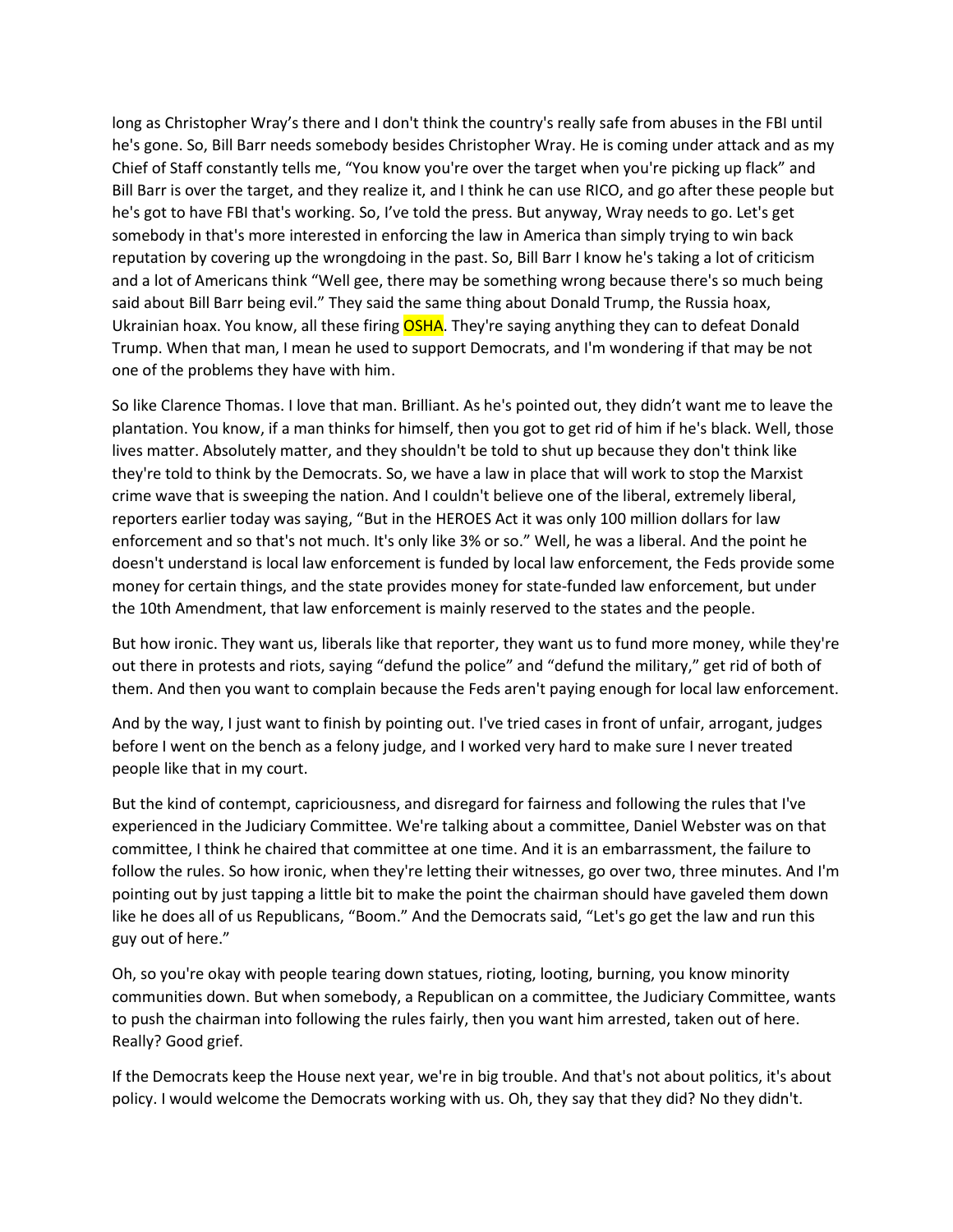long as Christopher Wray's there and I don't think the country's really safe from abuses in the FBI until he's gone. So, Bill Barr needs somebody besides Christopher Wray. He is coming under attack and as my Chief of Staff constantly tells me, "You know you're over the target when you're picking up flack" and Bill Barr is over the target, and they realize it, and I think he can use RICO, and go after these people but he's got to have FBI that's working. So, I've told the press. But anyway, Wray needs to go. Let's get somebody in that's more interested in enforcing the law in America than simply trying to win back reputation by covering up the wrongdoing in the past. So, Bill Barr I know he's taking a lot of criticism and a lot of Americans think "Well gee, there may be something wrong because there's so much being said about Bill Barr being evil." They said the same thing about Donald Trump, the Russia hoax, Ukrainian hoax. You know, all these firing **OSHA**. They're saying anything they can to defeat Donald Trump. When that man, I mean he used to support Democrats, and I'm wondering if that may be not one of the problems they have with him.

So like Clarence Thomas. I love that man. Brilliant. As he's pointed out, they didn't want me to leave the plantation. You know, if a man thinks for himself, then you got to get rid of him if he's black. Well, those lives matter. Absolutely matter, and they shouldn't be told to shut up because they don't think like they're told to think by the Democrats. So, we have a law in place that will work to stop the Marxist crime wave that is sweeping the nation. And I couldn't believe one of the liberal, extremely liberal, reporters earlier today was saying, "But in the HEROES Act it was only 100 million dollars for law enforcement and so that's not much. It's only like 3% or so." Well, he was a liberal. And the point he doesn't understand is local law enforcement is funded by local law enforcement, the Feds provide some money for certain things, and the state provides money for state-funded law enforcement, but under the 10th Amendment, that law enforcement is mainly reserved to the states and the people.

But how ironic. They want us, liberals like that reporter, they want us to fund more money, while they're out there in protests and riots, saying "defund the police" and "defund the military," get rid of both of them. And then you want to complain because the Feds aren't paying enough for local law enforcement.

And by the way, I just want to finish by pointing out. I've tried cases in front of unfair, arrogant, judges before I went on the bench as a felony judge, and I worked very hard to make sure I never treated people like that in my court.

But the kind of contempt, capriciousness, and disregard for fairness and following the rules that I've experienced in the Judiciary Committee. We're talking about a committee, Daniel Webster was on that committee, I think he chaired that committee at one time. And it is an embarrassment, the failure to follow the rules. So how ironic, when they're letting their witnesses, go over two, three minutes. And I'm pointing out by just tapping a little bit to make the point the chairman should have gaveled them down like he does all of us Republicans, "Boom." And the Democrats said, "Let's go get the law and run this guy out of here."

Oh, so you're okay with people tearing down statues, rioting, looting, burning, you know minority communities down. But when somebody, a Republican on a committee, the Judiciary Committee, wants to push the chairman into following the rules fairly, then you want him arrested, taken out of here. Really? Good grief.

If the Democrats keep the House next year, we're in big trouble. And that's not about politics, it's about policy. I would welcome the Democrats working with us. Oh, they say that they did? No they didn't.